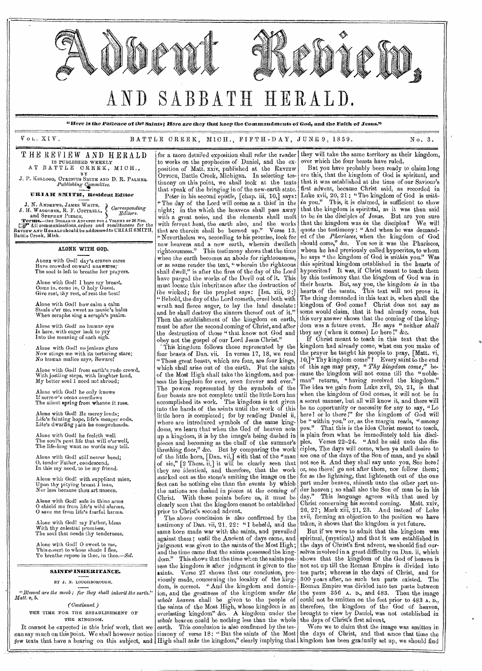

Alone with *God!* he only knows If sorrow's ocean overflo The silent spring from whence it rose.

Alone with God! He mercy lends;<br>Life's fainting hope, life's meager ends.<br>Life's dwarfing <sub>l</sub>ain he comprehends.

Alone with God! he feelcth well<br>The soul's pent life that will o'erwell,<br>The life-long want no words may tell.

Alone with God! still nearer bend; 0, tender Father, condescend, In this my need, to be my friend.

Alone with God! with suppliant mien, Upon thy pitying breast 1 lean, Nor less because thou art unseen.

Alone with Godl safe in thine arms 0 shield me from life's wild alarms, 0 save me from life's Emilia harms. Alone with God! my Father, bless

With thy celestial promises, The soul that needs thy tenderness.

Alone with God! 0 sweet to me, This covert to whose shade I flee, To breathe repose in thee, in *thee.—Sel.* 

SAINTS' INHERITANCE.

BY J. N. LOUGHBOROUGH.

*"Blessed are the meek; for they shalt inherit the earth." Matt.* v, 5.

*(Continued.)*  THE TIME FOR THE ESTABLISHMENT OF THE KINGDOM.

It cannot be expected in this brief work, that we can say much on this point. We shall however notice *few* texts that have a bearing on this subject, and High shall *take* the kingdom," clearly implying that kingdom has been gradually set up, we should find

of the Most High shall take the kingdom, and possess the kingdom for ever, even forever and ever." The powers represented by the symbols of the four beasts are not complete until the little horn has accomplished its work. The kingdom is not given into the hands of the saints until the work of this little horn is completed; for by reading Daniel ii, where are introduced symbols of the same kingdoms, we learn that when the God of heaven sets up a kingdom, it is by the image's being dashed in pieces and becoming as the chaff of the summer's threshing floor," &c. But by comparing the work of the little born, [Dan. vii,] with that of the "man of sin,"  $[2 \text{ Thesis. ii}]$  it will be clearly seen that they are identical, and therefore, that the work marked out as the stone's smiting the image on the feet can be nothing else than the events by which the nations are dashed in pieces at the coming of Christ. With these points before us, it must be clearly seen that the kingdom cannot be established

prior to Christ's second advent. The above conclusion is also confirmed by the testimony of Dan. vii, 21, 22: "I beheld, and the same horn made war with the saints, and prevailed against them; until the Ancient of days came, and judgment was given to the saints of the Most High; and the time came that the saints possessed the kingdom." This shows that the time when the saints possess the kingdom is after judgment is given to the saints. Verse 27 shows that our conclusion, previously made, concerning the locality of the kingdom, is correct. "And the kingdom and dominion, and the greatness of the kingdom *under the whole heaven* shall be given to the people of the saints of the Most High, whose kingdom is an everlasting kingdom" &c. A kingdom under the *whole* heaven could be nothing less than the whole earth. This conclusion is also confirmed by the testimony of verse 18: "But the saints of the Most

cause the kingdom will not come till the- "nobleman" returns, "having received the kingdom." The idea we gain from Luke xvii, 20, 21, is that when the kingdom of God comes, it will not be in a secret manner, but all will know it, and there will be no opportunity or necessity for any to say, "Lo here! or lo there!" for the kingdom of God will be "within you," or, as the margin reads, *"among you."* That this is the idea Christ meant to teach, is plain from what he immediately told his disciples. Verses 22-24. "And he said unto the disciples, The days will come, when ye shall desire to see one of the days of the Son of man, and ye shall not see it. And they shall say unto you, See here! or, see there! go not after them, nor follow them; for as the lightning, that lighteneth out of the one part under beaven, shineth unto the other part under heaven; so shall also the Son of man be in his day." This language agrees with that used by Christ concerning his second coming. Matt. xxiv, 26, 27; Mark xiii, 21, 23. And instead of Luke xvii, forming an objection to the position we have taken, it shows that the kingdom is yet future.

But if we were to admit that the kingdom was spiritual, (mystical,) and that it was established in the days of Christ's first advent, we should find ourselves involved in a great difficulty on Dan. ii, which shows that the kingdom of the God of heaven is not set up till the Roman Empire is divided into ten parts; whereas in the days of Christ, and for 300 years after, no such ten parts existed. The Roman Empire was divided into ten parts between the years 356 A. D., and 483. Then the image could not be smitten on the feet prior to 483 A. D., therefore, the kingdom of the God of heaven, brought to view by Daniel, was not established in the days of Christ's first advent,

Were we to claim that the image was smitten in the days of Christ, and that since that time the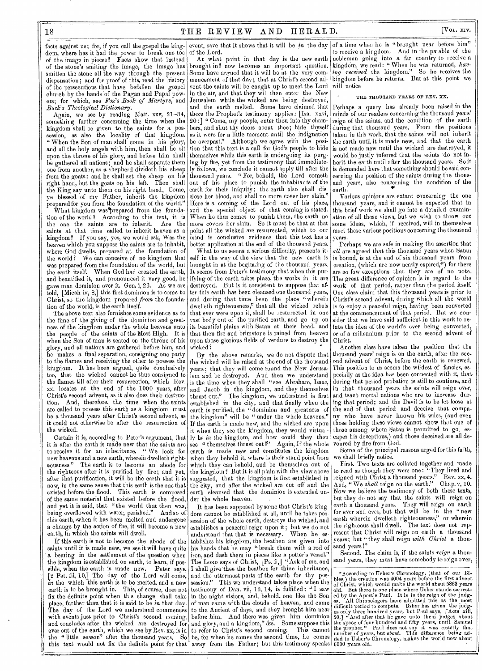dom, where has it had the power to break one toe of the image in pieces? Facts show that instead of the stone's smiting the image, the image has smitten the stone all the way through the present dispensation; and for proof of this, read the history of the persecutions that have befallen the gospel church by the hands'of the Pagan and Papal powers; for which, see *Fox's Book of Martyrs,* and *Buck's Theological Dictionary.* 

Again, we see by reading Matt. xxv, 31-34, something further concerning the time when the kingdom shall be given to the saints for a possession, as also the locality of that kingdom. " When the Son of man shall come in his glory, and all the holy angels with him, then shall he sit upon the throne of his glory, and before him shall be gathered all nations; and he shall separate them one from another, as a shepherd divideth his sheep from the goats: and he shall set the sheep on his right hand, but the goats on his left. Then shall the King say unto them on his right hand, Come, ye blessed of my Father, inherit the kingdom prepared for you from the foundation of the world."

What kingdom was prepared from the foundation of the world? According to this text, it is<br>the one the saints are to inherit. Are the the one the saints are  $t_0$  inherit. saints at that time called to inherit heaven as a kingdom? If you say, yes, we would ask, Was the heaven which you suppose the saints are to inhabit, where God dwells, prepared at the foundation of the world? We can conceive of no kingdom that was prepared from the foundation of the world, but the earth itself. When God had created the earth, and beautified it, and pronounced it very good, he gave man dominion over it. Gen. i, 26. As we are told, [Micah iv, 8,] this first dominion is to come to Christ, so the kingdom prepared *from* the foundation of the world, is the earth itself.

The above text also furnishes some evidence as to the time of the giving of the dominion and greatness of the kingdom under the whole heavens unto the people of the saints of the Most High. It is when the Son of man is seated on the throne of his glory, and all nations are gathered before him, and he makes a final separation, consigning one party to the flames and receiving the other to possess the kingdom. It has been argued, quite conclusively too, that the wicked cannot be thus consigned to the flames till after their resurrection, which Rev. xx, locates at the end of the 1000 years, after Christ's second advent, as it also does their destruction. And, therefore, the time when the saints are called to possess this earth as a kingdom must be a thousand years after Christ's second advent, as it could not otherwise be after the resurrection of the wicked.

Certain it is, according to Peter's argument, that it is after the earth is made new that the saints are to receive it for an inheritance- " We look for new heavens and a new earth, wherein dwelleth righteousness." The earth is to become an abode for the righteous after it is purified by fire; and yet, after that purification, it will be the earth that it is now, in the same sense that this earth is the one that existed before the flood. This earth is composed of the same material that existed before the flood, and yet it is said, that "the world that then was, being overflowed with water, perished." And so of this earth, when it has been melted and undergone a change by the action of fire, it will become a new earth, in which the saints will dwell.

If this earth is not to become the abode of the saints until it is made new, we see it will have quite a bearing in the settlement of the question when the kingdom is established on earth, to learn, if pos-<br>sible, when the earth is made new. Peter says. sible, when the earth is made new.  $\left[2 \right]$  Pet. iii, 10,] The day of the Lord will come,  $\overline{\mathbf{i}}$ *n* the which this earth is to be melted, and a new earth is to be brought in. This, of course, does not fix the definite point when this change shall take place, further than that it is said to be in that day. The day of the Lord we understand commences with events just prior to Christ's second coming, and concludes after the wicked are destroyed for ever out of the earth, which we see by Rev. xx, is in the " little season" after the thousand years. So this text would not fix the definite point for that away from the Father; but this testimony speaks 6000 years old.

facts against us; for, if you call the gospel the king- event, save that it shows that it will be *in* the day of the Lord.

At what point in that day is the new earth brought in? now becomes an important question. Some have argued that it will be at the very commencement of that day; that at Christ's second advent the saints will be caught up to meet the Lord in the air, and that they will then enter the New Jerusalem while the wicked are being destroyed, and the earth melted. Some have claimed that theca the Prophet's testimony applies: [Isa. xxvi, 20 :] " Come, my people, enter thou into thy chambers, and shut thy doors about thee; hide thyself as it were for a little moment until the indignation be overpast." Although we agree with the position that this text is a call for God's people to hide themselves while this earth is undergoing its purging by fire, yet from the testimony that immediately follows, we conclude it cannot apply till after the thousand years. " For, behold, the Lord cometh out of his place to punish the inhabitants of the earth for their iniquity; the earth also shall dis close her blood, and shall no more cover her slain." Here is a coming of the Lord out of his place, and the special object of that coming is stated. When he thus comes to punish them, the earth no more covers her slain. So it must be that at that point all the wicked are resurrected, which to our mind is conclusive evidence that this text has a better application at the end of the thousand years.

What to us seems a serious difficulty, presents itself in the way of the view that the new earth is brought in at the beginning of the thousand years. It seems from Peter's testimony that when this purifying of the earth takes place, the works in it are destroyed. But is it consistent to suppose that after this earth has been cleansed one thousand years, and during that time been the place "wherein dwelleth righteousness," that all the wicked rebels that ever were upon it, shall be resurrected in one vast body out of the purified earth, and go up on its beautiful plains with Satan at their head, and that then fire and brimstone is rained from heaven upon those glorious fields of verdure to destroy the that then fire and brimstone is rained from heaven<br>upon those glorious fields of verdure to destroy the<br>wicked?

By the above remarks, we do not dispute that the wicked will be raised at the end of the thousand years; that they will come round the New Jerusalem and be destroyed. And then we understand is the time when they shall "see Abraham, Isaac, and Jacob in the kingdom, and they themselves thrust out." The kingdom, we understand is first established in the city, and that finally when the earth is purified, the "dominion and greatness of the kingdom" will be " under the whole heavens." If the earth is made new, and the wicked are upon it when they see the kingdom, they would virtually be *in* the kingdom, and how could they then see " themselves thrust out?" earth is made new and constitutes the kingdom when they behold it, where is their stand point from which they can behold, and be themselves out of the kingdom? But it is all plain with the view above suggested, that the kingdom is first established in the city, and after the wicked are cut off and the earth cleansed that the dominion is extended under the whole heaven.

It has been supposed by some that Christ's kingdom cannot be established at all, until he takes possession of the whole earth, destroys the wicked, and establishes a peaceful reign upon it; but we do not understand that that is necessary. tablishes his kingdom, the heathen are given into his hands that be may "break them with a rod of iron, and dash them in pieces like a potter's vessel." The LORD says of Christ, [Ps. ii,] "Ask of me, and I shall give thee the heathen for thine inheritance, and the uttermost parts of the earth for thy possession." This we understand takes place when the testimony of Dan. vii, 13, 14, is fulfilled : "I saw in the night visions, and, behold, one like the Son of man came with the clouds of heaven, and came to the Ancient of days, and they brought him near before him. And there was given him dominion and glory, and a kingdom," &c. Some suppose this to refer to Christ's second coming. This cannot be, for when he comes the second time, he comes

of a time when he is "brought near before him" to receive a kingdom. And in the parable of the nobleman going into a far country to receive a kingdom, we read: " When he was returned, *having received* the kingdom." So he receives the kingdom before he returns. But at this point we will notice

### THE THOUSAND YEARS OF REV. XX.

Perhaps a query has already been raised in the minds of our readers concerning the thousand years' reign of the saints, and the condition of the earth during that thousand years. From the positions taken in this work, that the saints will not inherit the earth until it is made new, and that the earth is not made new until the wicked are destroyed, it would be justly inferred that the saints do not inherit the earth until after the thousand years. So it is demanded here that something should be said concerning the position of the saints during the thousand years, also concerning the condition of the earth.

earth.<br>Various opinions are extant concerning the one thousand years, and it cannot be expected that in this brief work we shall go into a detailed examination of all those views, but we wish to throw out some ideas, which, if received, will in themselves meet these various positions concerning the thousand years.

Perhaps we are safe in making the assertion that *all* are agreed that this thousand years when Satan is bound, is at the end of six thousand years from creation, (which are now nearly expired,\*) for there are so few exceptions that they are of no note. The great difference of opinion is in regard to the work of that period, rather than the period itself. One class claim that this thousand years is prior to Christ's second advent, during which all the world is to enjoy a peaceful reign, having been converted at the commencement of that period. But we consider that we have said sufficient in this work to refute the idea of the world's ever being converted, or of a millennium prior to the second advent of Christ.

Another class have taken the position that the thousand years' reign is on the earth, after the second advent of Christ, before the earth is renewed. This position to us seems the wildest of fancies, especially as the idea has been connected with it, that. during that period probation is still to continue, and in that thousand years the saints will reign over, and teach mortal nations who are to increase during that period; and the Devil is to be let loose at the end of that period and deceive that company who have never known his wiles, (and even those holding these views cannot show that one of those among whom Satan is permitted to go, capes his deceptions,) and those deceived are all devoured by fire from God.

Some of the principal reasons urged for this faith, we shall briefly notice.

First. Two texts are collated together and made to read as though they were one: "They lived and<br>reigned with Christ a thousand years." Rev. xx, 4. reigned with Christ a thousand years." And, "We *shall* reign on the earth." Chap. v, 10. Now we believe the testimony of both these texts, but they do not say that the saints will reign on earth a thousand years. They will reign on earth for ever and ever, but that will be in the " new earth wherein dwelleth righteousness," or wherein the righteous shall dwell. The text does not represent that Christ will reign on earth a thousand years; but " they shall reign *with Christ* a thousand years I"

Second. The claim is, if the saints *reign* a thousand years, they must have somebody to reign over,

\* According to Usher's Chronology, (that of our Bi-<br>es.) the creation was 4004 years before the first advent of Chi bles,) the creation was 4004 years before the first advent<br>of Christ, which would make the world about 5863 years<br>old. But there is one place where Usher stands correct-<br>ed by the Apostle Paul. It is in the reign of the ju difficult period to compute. Usher has given the judges only three hundred years, but Paul says, [Acts xiii, 20,] "And after that he gave unto them judges about the space of four hundred and fifty years, until Samuel the p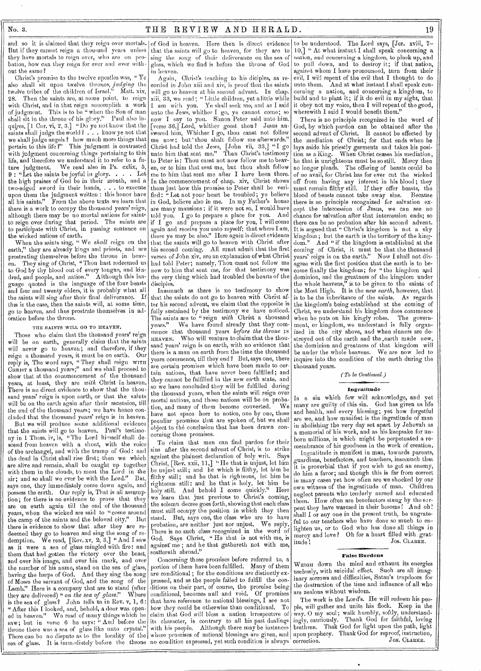and so it is claimed that they reign over mortals. of God in heaven. Here then is direct evidence But if they cannot reign a thousand years unless they have mortals to reign over, who are on probation, how can they reign for ever and ever without the same?

Christ's promise to the twelve apostles was, "Ye also shall sit upon twelve thrones, *judging* the twelve tribes of the children of Israel." Matt. xis, Then the saints are, at some point, to reign with Christ, and in that reign accomplish a work of judgment. This is to be " when the Son of man shall sit in the throne of his glory." Paul also inquires,  $[1 \text{ Cor. vi, 2, 3}]$  "Do ye not know that the saints shall judge the world ? . . . know ye not that we shall judge angels ? how much more things that pertain to this life ?" This judgment is contrasted with judgment concerning things pertaining to this life, and therefore we understand it to refer to a fu-<br>ture judgment. We read also in Ps.  $\text{cxlix}_, 5$ , ture judgment. We read also in Ps. cxlix, 5,  $9:$  "Let the saints be joyful in glory.  $\ldots$  . Let **9**: "Let the saints be joyful in glory.... Let<br>the high praises of God be in their mouth, and a<br>two-edged sword in their hands,...to execute two-edged sword in their hands, . upon them the judgment written : this honor have all his saints." From the above texts we learn that there is a work to occupy the thousand years' reign, although there may be no mortal nations for saintto reign over during that period. The saints are to participate with Christ, in passing sentence on the wicked nations of earth.

When the saints sing, " We *shall* reign on the earth," they are already kings and priests, and are prostrating themselves before the throne in heaven. They sing of Christ, "Thou hast redeemed us to God by thy blood out of every tongue, and kindred, and people, and nation." Although this language quoted is the language of the four beasts and four and twenty elders, it is probably what all the saints will sing after their final deliverance. If this is the case, then the saints will, at some time, go to heaven, and thus prostrate themselves in adoration before the throne.

### THE SAINTS WILL GO TO HEAVEN.

Those who claim that the thousand years' reign will be on earth, generally claim that the saints will never go to heaven; and therefore, if they reign a thousand years, it must be on earth. Our reply is, The word says, " They shall reign WITH CHRIST a thousand years;" and we shall proceed to show that at the commencement of the thousand years, at least, they are *with* Christ in heaven. There is no direct evidence to show that the thousand years' reign is upon earth, or that the saints will be on the earth again after their ascension, **till**  the end of the thousand years; we have hence concluded that the thousand years' reign is in heaven.

But we will produce some additional evidence that the saints will go to heaven. Paul's testimony in **1** Thess. iv, is, " The Lord himself shall descend from heaven with a shout, with the voice of the archangel, and with the trump of God: and the dead in Christ shall rise first; then wo which are alive and remain, shall be caught up together with them in the clouds, to meet the Lord in the air; and so shall wo ever be with the Lord." But, says one, they immediately come down again, and possess the esrth. Oar reply is, That is all assumption; for there is no evidence to prove that they are on earth again till the end of the thousand years, when the wicked are said to "come around"<br>the camp of the saints and the beloved city." But the camp of the saints and the beloved city." there is evidence to show that after they are redeemed they go to heaven and sing the song of redemption. We read, [Rev. xv, 2, 3,] "And I saw as it were a sea of glass mingled with fire: and them that bad gotten the victory over the beast, and over his image, and over his mark, and over the number of his name, stand on the sea of glass, having the harps of God. And they sing the song of Moses the servant of God, and the song of the Lamb." Here is a company that are to stand (after<br>they are delivered) " on the sea of glass." Where they are delivered) " on the sea of glass." is the sea of glass? John tells us in Rev. **v, 1, 6:**  "After this I looked, and, behold, a door was opened in heaven." We read of many things which he saw; but in verse 6 he says: "And before the throne there was a sea of glass like unto crystal." There can be no dispute as to the locality of the sea of glass. It is immediately before the throne

that the saints **will** go to heaven, **for they are** to sing **the song of their deliverance on the sea** of glass, **which we find is before the throne of God**  in **heaven.** 

**Again, Christ's teaching to his diciples, as recorded in John xiii and xiv, is proof that the saints will go to heaven** at **his second advent. In** chap. xiii, **83, we read; " Little children, yet a little** while I am with you. Ye **shall seek me, and as I** said unto the Jews, whither I go, **ye cannot** come; so now I say to you. Simon Peter said unto him, [verse 36,] Lord, whither goest thou? Jesus answered him, Whither I go, thou canst not follow me now; but thou shalt follow me afterwards.' Christ had told the Jews, [John vii, 33,] "I go unto him that sent me." Then Christ's testimony to Peter is: Thou canst not now follow me to beaven, or to him that sent me, but thou shalt follow me to him that sent me after I have been there. In the commencement of chap. xiv, Christ shows them just how this promise to Peter shall be verified: "Let not your heart be troubled; ye believe in God, believe also in me. In my Father's house are many mansions : if it were not so, I would have told you. I go to prepare a place for you. And if I go and prepare a place for you, I will come again and receive you unto myself; that where I am, there ye may be also." Here again is direct evidence that the saints will go to heaven with Christ after his second coming. All must admit that the first verses of John xiv, are an explanation of what Christ had told Peter; namely, Thou canst not follow me now to him that sent me, for that testimony was the very thing which had troubled the hearts of the disciples.

Inasmuch as there is no testimony to show that the saints do not go to heaven with Christ after his second advent, we claim that the opposite is fully sustained by the testimony we have noticed. The saints aro to "reign *with* Christ a thousand years." We have found already that they commence that thousand years *before the throne m*  HEAVEN. Who will venture to claim that the thousand years' reign is on earth, with no evidence that there is a man on earth from the time the thousand years commence, till they end ? But, says one, there are certain promises which have been made to certain nations, that have never been fulfilled; and they cannot be fulfilled in the new earth state, and so we have concluded they will be fulfilled during the thousand years, when the saints will reign over mortal nations, and those nations will be on probation, and many of them become converted. have not space here to notice, one by one, those peculiar promises that are spoken of, but we shall object to the conclusion that has been drawn concerning those promises.

To claim that men can find pardon for their sins after the second advent of Christ, is to strike against the plainest declaration of holy writ. Says Christ, [Rev. xxii, **11,] "He** that is unjust, let him be unjust still; and he which is filthy, let him be filthy still; and he that is righteous, let him be righteous still: and he that is holy, let- him be holy still. And behold I come quickly." Here we learn that just previous to Christ's coming, the solemn decree goes forth, showing that each class must still occupy the position in which they then stand. But, says one, the class who are to have<br>probation, are neither just nor unjust. We reply, probation, are neither just nor unjust. There is no such class recognized in the word of God. Says Christ, "He that is not with me, is against' me ; and he that gathereth not with me, scattereth abroad."

Concerning those promises before referred to, a portion of them have been fulfilled. Many of them are conditional; for the conditions are distinctly expressed, and as the people failed to fulfill the conditions on their part, of course, the promise being conditional, becomes null and void. Of promises that have reference to national blessings,  $I$  see not how they could be otherwise than conditional. To claim that God will bless a nation irrespective of its character, is contrary to all his past **dealings**  with his people. Although there may be instances where promises of national blessings are given, and no condition expressed, yet such condition is always correction. **Jos.** CLARKE.

to be understood. The Lord says, [Jer. xviii, 7- <sup>1</sup> **0,] "** At what instant I shall speak concerning a nation, and concerning a kingdom, to pluck up, and to pull down, and to destroy it; if that nation, against whom I have pronounced, turn from their evil, **I** will repent of the evil that I thought to do unto them. And at what instant I shall speak concerning a nation, and concerning a kingdom, to build and to plant it; if it do evil in my sight, that it obey not my voice, then **I** will repent of the good, wherewith I said I would benefit them.'

There is no principle recognized in the word of God, by which pardon can be obtained after the second advent of Christ. It cannot be effected by the mediation of Christ; for that ends when **he**  lays aside his priestly garments and takes his position as a King. When Christ ceases his mediation, When Christ ceases his mediation, he that is unrighteous must be so still. Mercy then no longer pleads. The offering of beasts could be of no avail, for Christ has for ever cut the wicked off from having any interest in his blood; they must remain filthy still. If they offer beasts, the blood of beasts cannot take away sins. there is no principle recognized for salvation except the intercession of Jesus, we can see no chance for salvation after that intercession ends; so there can be no probation after his second advent. It is argued that " Christ's kingdom is not a sky kingdom ; but the earth is the territory of the kingdom." And "if the kingdom is established at the corning of Christ, it must be that the thousand years' reign is on the earth." Now I shall not disagree with the first position that the earth is to become finally the kingdom; for "the kingdom and dominion, and the greatness of the kingdom under the whole heavens," is to be given to the saints of the Most High. It is the *new earth,* however, that is to be the inheritance of the saints. As regards the kingdom's being established at the coming of Christ, we understand his kingdom does commence when he puts on his kingly robes. ment, or kingdom, we understand is fully organized in the city above, and when sinners are destroyed out of the earth and the \_earth made new, the dominion and greatness of that kingdom will be under the whole heavens. **We** are now led to inquire into the condition of the earth during the thousand years.

#### *( To be Continued.)*

#### Ingratitude

**Is a** sin which few will acknowledge, and yet many are guilty of this sin. God has given us life and health, and every blessing; yet how forgetful are we, and how manifest is the ingratitude of man in abolishing the very day set apart by Jehovah as a memorial of his work, and as his keepsake for unborn millions, in which might be perpetuated a remembrance of his goodness in the work of creation.

Ingratitude is manifest in man, towards parents, guardians, benefactors, and teachers, insomuch that it is proverbial that if you wish to get an enemy, do him a favor; and though this is far from correct in many cases yet how often are we shocked by our own witness of the ingratitude of man. Children neglect parents who tenderly nursed and educated them. How often are benefactors stung by the serpent they have warmed in their bosoms! **And oh!**  shall **I or** any one in the present truth, be ungrateful to our teachers who have done so much to enlighten us, or to God who has done all things in mercy and love? Oh for a heart filled with grat-<br>itude! Jos. CLARKE. Jos. CLARKE.

### False Burdens

WEIGH down the mind and exhaust its energies uselessly, with suicidal effect. Such are all imaginary sorrows and difficulties, Satan's trapdoors for the destruction of the time and influence of all who are zealous without wisdom.

The work is the Lord's. He will redeem his people, will gather and unite his flock. Keep in the  $_{\rm way,~O}$  my soul; walk humbly, softly, understandingly, cautiously. Thank God for faithful, loving brethren. Thak God for light upon the path, light upon prophecy. Thank God for reproof, instruction,<br>correction. Jos. CLARKE.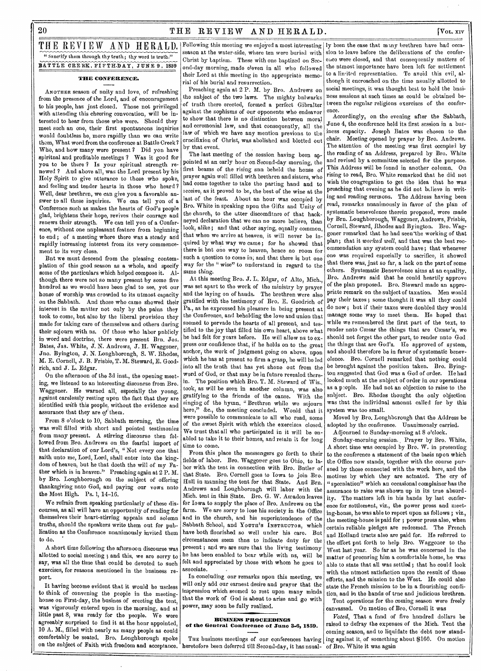$20$  THE REVIEW AND HERALD.  $[V_{OL,XIV}]$ 

## THE REVIEW AND HERALD. Following this meeting we enjoyed a most interesting 1y been the case that mmy brethren have had occa-" Sanctify them through thy truth ; thy word is truth." **BATTLE CREEK, FIFTILDAY, JUNE 9, 1859**

**THE CONFERENCE.** 

ANOTHER season of nnity and love, of refreshing from the presence of the Lord, and of enconragement to his people, has jnst closed. Those not privileged with attending this cheering convocation, will be interested to hear from those who were. Should they meet such an one, their first spontaneons inquiries would doubtless be, more rapidly than we can write them, What word from the conference at Battle Creek? Who, and how many were present? Did yon have spiritual and profitable meetings ? Was it good for you to be there ? Is your spiritual strength renewed ? And above all, was the Lord present by his Holy Spirit to give ntterance to those who spoke, and feeling and tender hearts in those who heard? Well, dear brethren, we can give you a favorable answer to all these inquiries. We can tell yon of a Conference such as makes the hearts of God's people glad, brightens their hope, revives their courage and renews their strength. We can tell yon of a Conference, withont one nnpleasant feature from beginning to end ; of a meeting where there was a steady and rapidly increasing interest from its very commencement to its very close.

Bnt we must descend from the pleasing contemplation of this good season as a whole, and specify some of the particulars which helped compose it. Although there were not so many present by some five hundred as we would have been glad to see, yet our honse of worship was crowded to its utmost capacity on the Sabbath. And those who came showed their interest in the matter not only by the pains they took to come, bnt also by the liberal provision they made for taking care of themselves and others during their sojourn with ns. Of those who labor publicly in word and doctrine, there were present Brn. J03. Bates, Jas. White, J. N. Andrews, J. II. Waggoner, Jno. Byington, J. N. Loughborough, S. W. Rhodes, M. E. Cornell, J. B. Frisbie, T. M. Steward, E. Goodrich, and J. L. Edgar.

On the afternoon of the 3d inst., the opening meeting, we listened to an interesting disconrse from Bro. Waggoner. He warned all, especially the yonng, against carelessly resting upon the fact that they are identified *with* this people, without the evidence and assurance that they are *of* them.

From 8 o'clock to 10, Sabbath morning, the time was well filled with short and pointed testimonies from many present. A stirring disconrse then followed from Bro. Andrews on the fearful import of that declaration of onr Lord's, "Not every one that saith unto me, Lord, Lord, shall enter into the kingdom of heaven, but he that doeth the will of my Father which is in heaven." Preaching again at 2 P. M. by Bro. Loughborongh on the subject of offering thanksgiving nnto God, and paying our vows nnto the Most High. Ps. 1, 14-16.

We refrain from speaking particularly of these discourses, as all will have an opportunity of reading for themselves their heart-stirring appeals and solemn trnths, should the speakers write them out for publication as the Conference nnanimously invited them to do.

A short time following the afternoon discourse was allotted to social meeting ; and this, we are sorry to say, was all the time that conld be devoted to such exercises, for reasons mentioned in the business report.

It having become evident that it would be useless to think of convening the people in the meetinghonse on First-day, the busines of erecting the tent, was vigorously entered upon in the morning, and at little past 8, was ready for the people. We were agreeably surprised to find it at the hour appointed, 10 A. M., filled with nearly as many people as could comfortably be seated. Bro, Loughborough spoke

season at the water-side, where ten were buried with Christ by baptism. These with one baptized on Second-day morning, made eleven in all who followed their Lord at this meeting in the appropriate memorial of his burial and resurrection.

Preaching again at 2 P. M. by Bro. Andrews on the subject of the two laws. The mighty bulwarks of truth there erected, formed a perfect Gibralter against the sophisms of our opponents who endeavor to show that there is no distinction between moral and ceremonial law, and that consequently, all the law of which we have any mention previons to the crucifixion of Christ, was abolished and blotted out by that event.

The last meeting of the session having been appointed at an early hour on Second-day morning, the first beams of the rising snn beheld the honse of prayer again well filled with brethren and sisters, who had come together to take the parting hand and to receive, as it proved to be, the best of the wine at the last of the feast. About an hour was occupied by Bro. White in speaking npon the Gifts and Unity of the church, to the utter discomfiture of that hackneyed declaration that we can no more believe, than look, alike; and that other saying, equally common, that when we arrive at heaven, it will never be inquired by what way we came; for he showed that there is but one way to heaven, hence no room for such a question to come in; and that there is but one way for the " wise" to nnderstand in regard to the same thing.

At this meeting Bro. J. L. Edgar, of Alto, Mich., was set apart to the work of the ministry by prayer and the laying on of hands. The brethren were also gratified with the testimony of Bro. E. Goodrich of Pa., as he expressed his pleasure in being present at the Conference, and beholding the love and union that seemed to pervade the hearts of all present, and testified to the joy that filled his own heart, above what he had felt for years before. He will allow ns to  $e^{-}$ press our confidence that, if he holds on to the great anchor, the work of jndgment going on above, npon which he has at present so firm a grasp, he will be led into all the truth that has yet shone out from the word of God, or that may be in future revealed therein. The position which Bro. T. M. Steward of Wis., took, as will be seen in another column, was also gratifying to the friends of the cause. With the singing of the hymn, " Brethren while we sojourn here," &c., the meeting concluded. Would that it were possible to communicate to all who read, some of the sweet Spirit with which the exercises closed, We trust that all who participated in it will be enabled to take it to their homes, and retain it for long time to come.

From this place the messengers go forth to their fields of labor. Bro. Waggoner goes to Ohio, to labor with the tent in connection with Bro. Butler of that State. Bro. Cornell goes to Iowa to join Bro. Hull in manning the tent for that State. And Brn. Andrews and Loughborough will labor with the Mich. tent in this State. Bro. G. W. Amadon leaves for Iowa to supply the place of Bro. Andrews on the farm. We are sorry to lose his society in the Office and in the church, and his superintendence of the Sabbath School, and YOUTH'S INSTRUCTOR, which have both flonrished so well under his care. But circumstances seem thus to indicate duty for the present ; and we are sure that the liv'ng testimony he has been enabled to bear while with ns, will be felt and appreciated by those with whom he goes to associate.

In concluding onr remarks npon this meeting, we will only add our earnest desire and prayer that the impression which seemed to rest upon many minds that the work of God is about to arise and go with power, may soon be fully realized.

#### **BUSINESS PROCEEDINGS of the General Conference of June 3.6, 1859.**

on the snbject of Faith with freedom and acceptance. 'heretofore been deferred till Second-day, it has nsual-The business meetings of onr conferences having  $|$  ing against it, of something about \$160. On motion

sion to leave before the deliberations of the conference were closed, and that consequently matters of the ntmost importance have been left for settlement to a limited representation. To avoid this evil, althongh it encroached on the time nsually allotted to social meetings, it was thought best to hold the bnsiness sessions at such times as could be obtained between the regnlar religions exercises of the conference.

Accordingly, on the evening after the Sabbath, June 4, the conference held its first session in a business capacity. Joseph Bates was chosen to the chair. Meeting opened by prayer by Bro. Andrews. The attention of the meeting was first occupied by the reading of an Address, prepared by Bro. White and revised by a committee selected for the purpose. This Address will be found in another column. On rising to read, Bro. White remarked that he did not wish the congregation to get the idea that he was preaching that evening as he did not believe in writing and reading sermons. The Address having been read, remarks nuanimously in favor of the plan of systematic benevolence therein proposed, were made by Brn. Loughborough, Waggoner, Andrews, Frisbie, Cornell, Steward, Rhodes and Byington. Bro. Waggoner remarked that he had seen-the working of that plan; that it *worked well,* and that was the best recommendation any system could have; that whenever one was required especially to sacrifice, it showed that there was, jnst so far, a lack on the part of some others. Systematic Benevolence aims at an equality. Bro. Andrews said that he conld heartily approve of the plan proposed. Bro. Steward made an appropriate remark on the subject of taxation. Men would pay their taxes; some thought it was all they could do now; but if their taxes were doubled they would manage some way to meet them. He hoped that while we remembered the first part of the text, to render nnto Cæsar the things that are Cæsar's, we should not forget the other part, to render unto God. the things that are God's. He approved of system, and should therefore be in favor of systematic benevolence. Bro. Cornell remarked that nothing could be brought against the position taken. Bro. Byington snggested that God was a God of order. He had looked much at the subject of order in our operations as a prople. He had not an objection to raise to the subject. Bro. Rhodes thought the only objection was that the individual amount called for by this system was too small.

Moved by Bro. Loughborough that the Address be adopted by the conference. Unanimonsly carried.

Adjourned to Sunday-morning at 8 o'clock.

Sunday-morning session. , Prayer by Bro. White. A short time was occupied by Bro. W. in presenting to the conference a statement of the basis upon which the Office now stands, together with the course pursned by those connected with the work here, and the motives by which they are actnated. The cry of " speculation" which an occasional complainer has the assurance to raise was shown up in its true absurdity. The matters left in his hands by last conference for settlement, viz., the power press and meeting-house, he was able to report upon as follows ; viz., the meeting-house is paid for ; power press also, when certain reliable pledges are redeemed. The French and Holland tracts also are paid for. He referred to the effort put forth to help Bro. Waggoner to the West last year. So far as he was concerned in the matter of procuring him a comfortable home, he was able to state that all was settled; that he could look with the ntmost satisfaction upon the result of those efforts, and the mission to the West. He could also state the French mission to be in a flourishing condition, and in the hands of trne and judicious brethren.

Tent operations for the coming season were freely canvassed. On motion of Bro, Cornell it was

*Voted.* That a find of five hundred dollars be raised to defray the expenses of the Mich. Tent the coming season, and to liquidate the debt now standof Bro. White it was again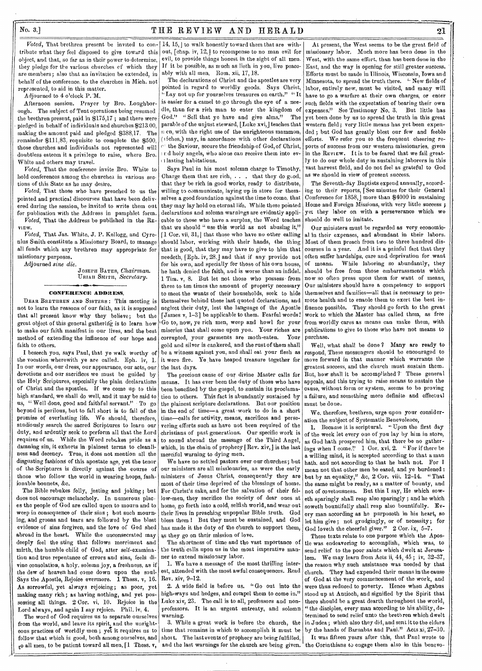## $N$ o. 3.] THE REVIEW AND HERALD 21

tribute what they feel disposed to give toward this object, and that, so far as in their power to determine, they pledge for the various churches of which they are members; also that an invitation be extended, in behalf of the conference, to the churches in Mich. not represented, to aid in this matter.

Adjourned to 4 o'clock P. M.

Afternoon session. Prayer by Bro. Loughborough. The subject of Tent operations being resumed the brethren present, paid in \$175,17 ; and there were pledged in behalf of individuals and churches \$213.00, making the amount paid and pledged \$388,17. The remainder \$111,83, requisite to complete the \$500, those churches and individuals not represented will doubtless esteem it a privilege to raise, where Bro. White and others may travel.

*Voted,* That the conference invite Bro. White to hold conferences among the churches in various sections of this State as he may desire.

*Voted.* That those who have preached to us the pointed and practical discourses that have been delivered during the session, be invited to write them out for publication with the Address in pamphlet form.

*Voted,* That the Address be published in the RE-VIEW.

*Voted,* That Jas. White, J. P. Kellogg, and Cyrenius Smith constitute a Missionary Board, to manage all funds which any brethren may appropriate for missionary purposes.

Adjourned *sine die.* 

JOSEPFI BATES, *Chairman.*  Union Swum, *Secretary.* 

### CONFERENCE ADDRESS.

DEAR BRETHREN AND SISTERS : This meeting is not to learn the reasons of our faith, as it is supposed that all present know why they believe; but the great object of this general gathering is to learn how to make our faith manifest in our lives, and the best method of extending the influence of our hope and faith to others.

I beseech you, says Paul, that ye walk worthy of the vocation wherewith ye are called. Eph. iv, 1. In our words, our dress, our appearance, our acts, our devotions and our sacrifices we must be guided by the Holy Scriptures, especially the plain declarations of Christ and the apostles. if we come up to this high standard, we shall do well, and it may be said to us, "Well done, good and faithful servant." To go beyond is perilous, but to fall short is to fail of the promise of everlasting life. We should, therefore, studiously search the sacred Scriptures to learn our duty, and ardently seek to perform all that the Lord requires of us. While the Word rebukes pride as a damning sin, it exhorts in plainest terms to cleanliness and decency. True, it does not mention all the disgusting fashions of this apostate age, yet the tenor of the Scriptures is directly against the course of those who follow the world in wearing hoops, fashionable bonnets, &c.

The Bible rebukes folly, jesting and joking; but does not encourage melancholy. In numerous places the people of God are called upon to mourn and to weep in consequence of their sins ; but such mourning, and groans and tears are followed by the blest evidence of sins forgiven, and the love of God shed abroad in the heart. While the unconsecrated may deeply feel the sting that follows merriment and mirth, the humble child of God, after self-examination and true repentance of errors and sins, feels divine consolation, a holy, solemn joy, a freshness, as if the dew of heaven had come down upon the soul. Says the Apostle, Rejoice evermore. 1 Thess. v, 16. As sorrowful, yet always rejoicing; as poor, yet making many rich; as having nothing, and yet possessing all things. 2 Cor. vi, 10. Rejoice in the Lord always, and again I say rejoice. Phil. iv, 4.

The word of God requires us to separate ourselves from the world, and leave its spirit, and the unrighteous practices of worldly men ; yet it requires us to follow that which is good, both among ourselves, and to all men, to be patient toward all men, [1 Thess. v,

Voted, That brethren present be invited to con- [14, 15,] to walk honestly toward them that are without, [chap. iv, 12,] to recompense to no man evil for evil, to provide things honest in the sight of all men. If it be possible, as much as lieth in you, live peaceably with all men. Rom. xii, 17, 18.

The declarations of Christ and the apostles are very pointed in regard to worldly goods. Says Christ, "Lay not up for yourselves treasures on earth." "It is easier for a camel to go through the eye of a needle, than for a rich man to enter the kingdom of God." " Sell that ye have and give alms." The parable of the unjust steward, [Luke xvi, ] teaches that n en, with the right use of the unrighteous mammon, iches,) may, in accordance with other declarations the Saviour, secure the friendship of God, of Christ, • rd holy angels, who alone can receive them into evlasting habitations.

Says Paul in his most solemn charge to Timothy, Charge them that are rich,  $\ldots$  that they do good, that they be rich in good works, ready to distribute, willing to communicate, laying up in store for themselves a good foundation against the time to come, that they may lay hold on eternal life. While these pointed declarations and solemn warnings are evidently applicable to those who have a surplus, the Word teaches that we should "use this world as not abusing it," [1 Cor. vii, 31,] that those who have no other calling should labor, working with their hands, the thing that is good, that they may have to give to him that needeth, [Eph. iv, 28, J and that if any provide not for his own, and specially for those of his own house, he hath denied the faith, and is worse than an infidel. 1 Tim. v, 8. But let not those who possess from three to ten times the amount of property necessary to meet the wants of their households, seek to hide themselves behind these last quoted declarations, and neglect their duty, lest the language of the Apostle [James v, 1-3] be applicable to them. Fearful words! ,Go to, now, ye rich men, weep and howl for your miseries that shall come upon you. Your riches are corrunted, your garments are moth-eaten. Your corrupted, your garments are moth-eaten. gold and silver is cankered, and the rust of them shall be a witness against you, and shall eat your flesh as it were fire. Ye have heaped treasure together for the last days.

The precious cause of our divine Master calls for means. It has ever been the duty of those who have been benefited by the gospel, to sustain its proclamation to others. This fact is abundantly sustained by the plainest scripture declarations. But our position in the end of time—a great work to do in a short time—calls for activity, means, sacrifices and persevering efforts such as have not been required of the christians of past generations. Our specific work is to sound abroad the message of the Third Angel, which, in the chain of prophecy [ Rev. xiv, ] is the last merciful warning to dying men.

We have no settled pastors over our churches; but our ministers are all missionaries, as were the early ministers of Jesus Christ, consequently they are most of their time deprived of the blessings of home. For Christ's sake, and for the salvation of their fellow-men, they sacrifice the society of dear ones at home, go forth into a cold, selfish world, and wear out their lives in preaching unpopular Bible truth. God bless them ! But they must be sustained, and God has made it the duty of the church to support them, as they go on their mission of love.

The shortness of time and the vast mportance of the truth calls upon us in the most imperative manner to extend missionary labor.

1. We have a message of the most thrilling interest, attended with the most awful consequences. Read Rev. xiv, 9-12.

2. A wide field is before us. " Go out into the high-ways and hedges, and compel them to come in." Luke xiv, 23. The call is to all, professors and nonprofessors. It is an urgent entreaty, and solemn .<br>warning.

3. While a great work is before the church, the time that remains in which to accomplish it must be shot. The last events of prophecy are being fulfilled. and the last warnings for the church are being given. the Corinthians to engage them also in this benevo-

At present, the West seems to be the great field of missionary labor. Much more has been done in the West, with the same effort, than has been done in the East, and the way is opening for still greater success. Efforts must be made in Illinois, Wisconsin, Iowa and Minnesota, to spread the truth there. "New fields of labor, entirely new, must be visited, and many will have to go a warfare at their own charges, or enter such fields with the expectation of bearing their own expenses." See Testimony No, 3. But little has yet been done by us to spread the truth in this great western field; very little means has yet been expended ; but God has greatly blest our few and feeble efforts. We refer you to the frequent cheering reports of success from our western missionaries, given in the REVIEW. It is to be feared that we fail greatly to do our whole duty in sustaining laborers in this vast harvest field, and do not feel as grateful to God as we should in view of present success,

The Seventh-day Baptists expend annually, according to their reports, [See minutes for their General Conference for 1858, J more than \$4000 in sustaining Home and Foreign Missions, with very little success ; yet they labor on with a perseverance which we should do well to imitate.

Our ministers must be regarded as very economical in their expenses, and abundant in their labors. Most of them preach from two to three hundred discourses in a year. And it is a painful fact that they often suffer hardships, care and deprivation for want of means. While laboring so abundantly, they should be free from those embarrassments which now so often press upon them for want of means, Our ministers should have a competency to support themselves and families—all that is necessary to promote health and to enanle them to exert the best influence possible. They should go forth to the great work to which the Master has called them, as free from worldly cares as means can make them, with publications to give to those who have not means to purchase.

Well, what shall be done ? Many are ready to respond, These messengers should be encouraged to move forward in that manner which warrants the greatest success, and the church must sustain them. But, how shall it be accomplished?' These general appeals, and this trying to raise means to sustain the cause, without form or system, seems to be proving a failure, and something more definite and effectual must be done.

We, therefore, brethren, urge upon your consideration the subject of Systematic Benevolence,

1. Because it is scriptural. "Upon the first day of the week let every one of you lay by him in store, as God hath prospered him, that there be no gatherings when I come.'! 1 Cor. xvi, 2. " For if there be a willing mind, it is accepted according to that a man hath, and not according to that he hath not. For I mean not that other men be eased, and ye burdened : but by an equality," &c, 2 Cor. viii, 12-14. " That the same might be ready, as a matter of bounty, and not of covetousness. But this I say, He which soweth sparingly shall reap also sparingly ; and he which soweth bountifully shall reap also bountifully. Every man according as he purposeth in his heart, so let him give; not grudgingly, or of necessity; for God loveth the cheerful giver." 2 Cor. ix, 5-7.

These texts relate to one purpose which the Apostle was endeavoring to accomplish, which was, to send relief to the poor saints which dwelt at Jerusalem. We may learn from Acts ii, 44, 45 ; iv, 32-37, the reason why such assistance was needed by that church. They had expended their means in the cause of God at the very commencement of the work, and were thus reduced to poverty. Hence when Agabus stood up at Antioch, and signified by the Spirit that there should be a great dearth throughout the world, "the disciples, every man according to his ability, determined to send relief unto the brethren which dwelt in Judea ; which also they did, and sent it to the elders by the hands of Barnabas and Paul." Acts xi, 27-30.

It was fifteen years after this, that Paul wrote to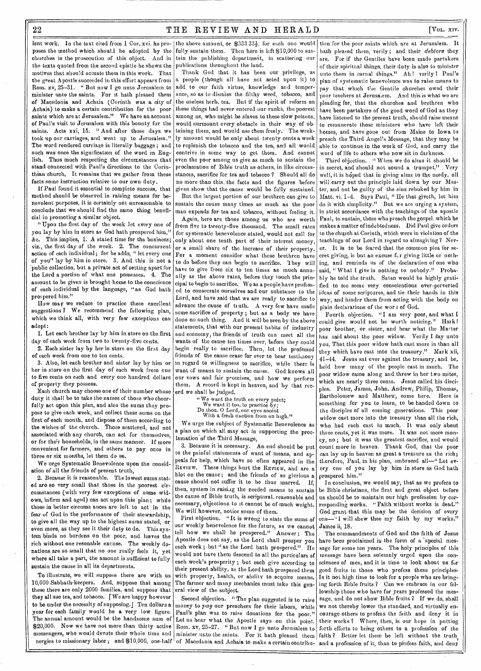## 22 THE REVIEW AND HERALD [VOL. XIV.

lent work. In the text cited from 1 Cor, xvi. he pro- the above amount, or  $$333.33\frac{1}{3}$ , for each one would churches in the prosecution of this object. And in the texts quoted from the second epistle he shows the motives that should actuate them in this work. That the great Apostle succeeded in this effort appears from Rom. xv, 25-31, " But now I go unto Jerusalem to minister unto the saints. For it hath pleased them of Macedonia and Achaia (Corinth was a city of Achaia) to make a certain contribution for the poor saints which are at Jerusalem." We have an account of Paul's visit to Jerusalem with this bounty for the saints. Acts xxi, 15. "And after those days we took up our carriages, and went up to Jerusalem." The word rendered carriage is literally baggage; and such was once the signification of the word in English. Thus much respecting the circumstances that stand connected with Paul's directions to the Corinthian church, It remains that we gather from these facts some instruction relative to our own duty.

If Paul found it essential to complete success, that method should be observed in raising means for benevolent purposes, it is certainly not unreasonable to conclude that we should find the same thing beneficial in promoting a similar object.

"Upon the first day of the week let every one of you lay by him in store as God hath prospered him," &c. This implies, 1. A stated time for the business; viz., the first day of the week. 2. The concurrent action of each individual; for he adds, " let every one of you" lay by him in store. 3, And this is not a 'public collection, but a private act of setting apart for the Lord a portion of what one possesses. 4, The amount to be given is brought home to the conscience of each individual by the language, "as God hath prospered him."

How may we reduce to practice these excellent suggestions ? We recommend the following plan, which we think all, with very few exceptions can adopt:

1. Let each brother lay by him in store on the first day of each week from two to twenty-five cents,

2. Each sister lay by her in store on the first day of each week from one to ten cents.

3. Also, let each brother and sister lay by him or her in store on the first day of each week from one to five cents on each and every one hundred dollars of property they possess.

Each church may choose one of their number whose duty it shall be to take the names of those who cheerfully act upon this plan, and also the sums they propose to give each week, and collect these sums on the first of each month, and dispose of them according to the wishes of the church. Those scattered, and not associated with any church, can act for themselves, or for their households, in the same manner. If more convenient for farmers, and others to pay once in three or six months, let them do se.

We urge Systematic Benevolence upon the considation of all the friends of present truth,

2. Because it is reasonable. The lowest sums steted aro so very small that those in the poorest circumstances (with very few exceptions of some widows, infirm and aged) can act upon this plan; while those in better circums ances are left to act in the fear of God in the performance of their stewardship, to give all the way up to the highest sums stated, or even more, as they see it their duty to do. This system binds no burdens on the poor, and leaves the rich without one resonable excuse. The weekly donations are so small that no one really feels it, yet where all take a part, the amount is sufficient to fully sustain the cause in all its departments.

To illustrate, we will suppose there are with us 10,000 Sabbath-keepers. And, suppose that among these there *are* only 2000 families, and suppose that they all use tea, and tobacco. [We are happy however to be under the necessity of supposing.] Ten dollars a year for each family would be *a* very low figure. The annual amount would be the handsome sum of \$20,000. Now we have not more than thirty active messengers, who would devote their whole time and minister unto the saints. For it hath pleased them

poses the method which should be adopted by the fully sustain them. Then here is left \$10,000 to sustain the publishing department, in scattering our publications throughout the land.

Thank God that it has been our privilege, as a people (though all have nct acted upon it) to add to our faith virtue, knowledge and temperance, so as to dismiss the filthy weed, tobacco, and the useless herb, tea. But if the spirit of reform on these things had never entered our ranks, the poorest among us, who might be slaves to these slow poisons, would surmount every obstacle in their way of ob• taining them, and would use them freely. The weekly amount would be only about twenty cents a week to replenish the tobacco and the tea, and all would contrive in some way to get them. And cannot even the poor among us give as much to sustain the proclamation of Bible truth as others, in like circumstances, sacrifice for tea and tobacco ? Should all do no more than this, the facts and the figures before given show that the cause would be fully sustained,

But the largest portion of our brethren can give to sustain the cause many times as much as the poor man expends for tea and tobacco, without feeling it.

Again, here are those among us who are worth from five to twenty-five thousand. The small rates for systematic benevolence stated, would not call for only about one tenth part of their interest money, or a small share of the increase of their property. For a moment consider what these brethren have to do before they can begin to sacrifice. They will have to give from six to ten times as much annually as the above rates, before they touch the principal to begin to sacrifice. We as a people have professed to consecrate ourselves and our substance to the Lord, and have said that we are ready to sacrifice to advance the cause of truth. A very few have made some sacrifice of property ; but as a body we have done no such thing. And it will be seen by the above statements, that with our present habits of industry and economy, the friends of truth can meet all the wants of the cause ten times over, before they could begin really to sacrifice. Then, let the professed friends of the cause cease for ever to bear testimony in regard to willingness to sacrifice, while there is want cf means to sustain the cause. God knows all our vows and fair promises, and how we perform them. A record is kept in heaven, and by that recerd we shall be judged.

- 
- e We want the truth on every point; We want it too, to practice by; Do thou, 0 Lord, our eyes anoint With a fresh unction from on high."

*We* urge the subject of Systematic Benevolence as a plan on which all may act in supporting the proclamation of the Third Message,

cause should not suffer it to be thus marred. If, 3. Because it is necessary. An end should be put to the painful statements of want of means, and appeals for help, which have so often appeared in the REVIEW. These things hurt the REVIEW, and are a blot on the cause ; and the friends of so glorious a then, system in raising the needed means to sustain the cause of Bible truth, is scriptural, reasonable and necessary, objections to it cannot be of much weight. We will however, notice some of them.

First objection. "It is wrong to state the sums of our weekly benevolence for the future, *as* we cannot tell how we shall be prospered." Apostle does not say, as the Lord shall prosper you each week; but " as the Lord hath prospered.". He would not have them descend to all the particulars of each week's prosperity ; but each give according to their present ability, as the Lord bath prospered them with property, health, or ability to acquire means. The farmer and many mechanics must take this general view of the subject.

Second objection. " The plan suggested is to raise money to  $pay$  our preachers for their labors, while Paul's plan was to raise donations for the poor." Let us hear what the Apostle says on this point. Rom. xv, 25-27. "But now I go unto Jerusalem to

tion for the poor saints which are at Jerusalem. It hath pleased them, verily ; and their *debtors* they are. For if the Gentiles have been made partakers of their spiritual things, their duty is also to minister unto them in carnal things." Ah! verily ! Paul's plan of systematic benevolence was to raise means to pay that which the Gentile churches owed their poor teachers at Jerusa;em. And this is what we are pleading for, that the churches and brethren who have been partakers of the good word of God as they have listened to the present truth, should raise means to remunerate those ministers who have left their homes, and have gone out from Maine to Iowa to preach the Third Angel's Message, that they may be able to continue in the work of God, and carry the word of life to others who now sit in darkness.

Third objection. " When we do alms it should be in secret, and should not sound a trumpet," Very well, it is hoped that in giving alms to the needy, all will carry out the principle laid down by our Master, and not be guilty of the sins rebuked by him in Matt. vi. 1-4. Says Paul, " He that giveth, let him do it with simplicity." But we are urging a system, in strict accordance with the teachings of the apostle Paul, to sustain, those who preach the gospel. which he makes a matter of indebtedness. Did Paul give orders to the church at Corinth, which were in violation of the teachings of our Lord in regard to almsgiving? Never. It is to be feared that the common plea for secret giving, is but an excuse for giving little or nothing, and reminds us of the declaration of one who said, "What I give is nothing to nobody." Probehly he told the truth. Satan would be highly gratified to see some very conscientious over-perverted ideas of some scriptures, and tie their hands in this way, and hinder them from acting with the body on plain declarations of the won 1 of God.

Fourth objection. "I am very poor, and what I could give would not be worth noticing." Hark ! poor brother, or sister, and hear what the Master has said about the poor widow. Verily I say unto you, That this poor widow bath cast more in than all they which have cast into the treasury." Mark xii, 41-44. Jesus sat over against the treasury, and be\_ held how many of the people cast in much. The poor widow came along and threw in her two mites, which are nearly three cents. Jesus called his discipies. Peter, James, John, Andrew, Philip, Thomas, Bartholomew and Matthew, come here. Here is something for you to learn, to be handed down to the disciples of all coming generations. This poor widow cast more into the treasury than all the rich, who had each cast in much. It was only about three cents, yet it was more. 'It was not more money, no ; but it was the greatest sacrifice, and would count more in heaven. Thank God, that the poor can lay up in heaven as great a treasure as the rich; therefore, Paul, in his plan, embraced all—" Let evcry one of you lay by him in store as God hath prospered him."

In conclusion, we would say, that as we profess to be Bible Christians, the first and great object before us should be to maintain our high profession by corresponding works. "Faith without works is dead." God grant that this may be the decision of every one-"I will shew thee my faith by my works." James ii, 18.

nergies to missionary labor; and \$10,000, one-half of Macedonia and Achaia to make a certain contribu- and a profession of it, than to profess faith, and deny The commandments of God and the faith of Jesus have been proclaimed in the form of a 'special message for some ten years. The holy principles of this message have been solemnly urged upon the consciences of men, and it is time to look about us fur good fruits in those who profess these principles. Is it not high time to look for a people who are bringing forth Bible fruits? Can we embrace in our fellowship those who have for years professed the message, and do not show Bible fruits ? If we do, shall we not thereby lower the standard, and virtually encourage others to profess the faith and deny it in their works? Where, then, is our hope in putting forth efforts to bring others to a profession of the faith? Better let them be left without the truth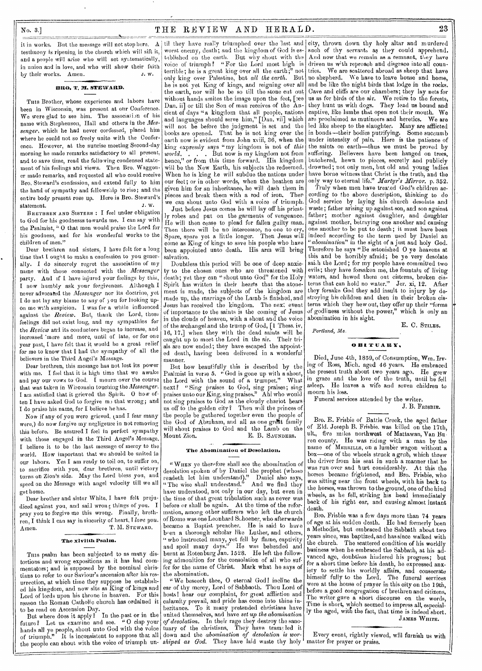## $N_0$ . 3.] THE REVIEW AND HERALD. 23

testimony is ripening in the church which will sift it, and a people will arise who will act systematically, in union and in love, and who will show their faith by their works. Amen.

#### BRO. T. WI. STEWARD.

Tuts Brother, whose experience and labors have been in Wisconsin, was present at our Conference. We were glad to see him. The association of his name with Stephenson, Hall and others in the *Mes*senger, which he had never confessed, placed him where he could not so freely unite with the Conference. However, at the sunrise meeting Second-day morning he made remarks satisfactory to all present, and to save time, read the following condensed statement of his feelings and views. Then Bro. Waggoner made remarks, and requested all who could receive Bro. Steward's confession, and extend fully to him the hand of sympathy and fellowship to rise; and the entire body present rose up. Here is Bro. Steward's statement. J. W.

BRETHREN AND SISTERS : I feel under obligation to God for his goodnesss towards me. I can say with the Psalmist, " 0 that men would praise the Lord for his goodness, and for his wonderful works to the children of men."

Dear brethren and sisters, I have felt for a long time that I ought to make a confession to you generally. I do sincerely regret the association of my name with those connected with the *Messenger*  party. And if I have injured your feelings by this, I now humbly ask your forgiveness. Although I never advocated the *Messenger* nor its doctrine, yet I do not lay any blame to any of) ou for looking upon me with suspicion. I was for a while influenced against the *Review.* But, thank the Lord, these feelings did not exist long, and my sympathies for the *Review* and its conductors began to increase, and increased more and more, until of late, or for one year past, I have felt that it would be a great relief for me to know that I had the sympathy of all the believers in the Third Angel's Message.

Dear brethren, this message has not lost its power with me. I feel that it is high time that we awake and pay our vows to God.  $\bar{I}$  mourn over the course that was taken in Wisconsin touching the *Messenger.*  I am satisfied that it grieved the Spirit. O how often I have asked God to forgive m<sub>2</sub> that wrong; and I do praise his name, for I believe he has.

Now if any of you were grieved, (and I fear many were,) do now forgive my negligence in not removing this before. Be assured I feel in perfect sympathy with those engaged in the Third Angel's Message, I believe it to bo the last message of mercy to the world. How important that we should be united in our labors. Yes I am ready to toil on, to suffer on, to sacrifice with you, dear brethren, until victory turns on Zion's side. May the Lord bless you, and speed on the Message with angel velocity till we all get home.

Dear brother and sister White, I have felt prejudiced against you, and sail wrong things of you. I pray you to forgive me this wrong. Finally, brethren, I think I can say in sincerity of heart, I *love you.*  Amen. T. M. STEWARD,

#### The xlvilth Psalm.

THIS psalm has been subjected to as many distortions and wrong expositions as it has had commentators; and is supposed by the nominal Christians to refer to our Saviour's ascension after his resurrection, at which time they suppose he established his kingdom, and now sits as King of kings and Lord of lords upon his throne in heaven. For this reason the Roman Catholic church has ordained it to be read on Ascension Day.

But where does it apply ? In the-past or in the future? Let us examine and see. "0 clap your hands all ye people, shout unto God with the voice of triumph." It is inconsistent to suppose that all the people can shout with the voice *of* triumph un-

worst enemy, death; and the kingdom of God is established on the earth. But why shout with the voice of triumph? "For the Lord most high is terrible; he is a great king over all the earth;" not only king over Palestine, but *all the earth.* But he is not yet King of kings, and reigning over all the earth, nor will he be so till the stone cut out without hands smites the image upon the feet, [see Dan. ii] or till the Son of man receives of the Ancient of days "a kingdom that all people, nations and languages should serve him," [Dan. vii] which will not be before the judgment is set and the books are opened. That he is not king over the earth now is evident from John xviii, 36, when the king expressly says "my kingdom is not of *this world. . . .* But now is my kingdom not from hence," or from this time forward. His kingdom will be the New Earth, his subjects the redeemed. When he is king he will subdue the nations under our feet; or in other words, when the heathen are given him for an inheritance, he will dash them in pieces and break them with a rod of iron. Then we can shout unto God with a voice of triumph.

Just before Jesus comes he will lay off his priestly robes and put on the garments of vengeance. He will then cease to plead for fallen gailty man. Then there will be no intercessor, no one to cry, Spare, spare yet a little longer. Then Jesus will come as King of kings to save his people who have been appointed unto death. His arm will bring salvation.

Doubtless this period will be one of deep anxiety to the chosen ones who are threatened with death; yet they can "shout unto God" for the Holy Spirit has written in their hearts that the atonement is made, the subjects of the kingdom are made up, the marriage of the Lamb is finished, and Jesus has received the kingdom. The next event of importance to the saints is the coming of Jesus in the clouds of heaven, with a shout and the voice of the archangel.and the trump of God, [1 Thess. iv, 16, 17,] when they with the dead saints will be caught up to meet the Lord in the air. Their trials are now ended; they have escaped the appointed death, having been delivered in a wonderful manner.

But how beautifully this is described by the Psalmist in verse 5. "God is gone up with a shout, the Lord with the sound of a trumpet." What next? "Sing praises to God, sing praises; sing praises unto our King, sing praises." Ah! who would not sing praises to God as the cloudy chariot bears us off to the golden city? Then will the princes of the people be gathered together even the people of the God of Abraham, and all as one great family will shout praises to God and the Lamb on the Mount Zion. E. B. SAUNDERS.

### The Abomination of Desolation.

" WHEN yo therefore shall see the abomination of desolation spoken of by Daniel the prophet (whoso readeth let him understand)." Daniel also says, "The wise shall understand." And we find they have understood, not only in our day, but even in the time of that great tribulation such as never was before or shall be again. At the time of the reformation, among other sufferers who left the church of Rome was one Leonhard Schoener, who afterwards became a Baptist preacher. He is said to have been a thorough scholar like Luther, and others, "who instructed many, yet fell by flame, captivity and spoil many days." He was beheaded and burnt at Rotenburg Jan. 1528. He left the following admonition for the consolation of all who suffer for the name of Christ. Mark what he says of the abomination.

" We beseech thee, 0 eternal God! incline the ear of thy mercy, Lord of Sabbaoth. Thou Lord of hosts! hear our complaint, for great affliction and calamity prevail, and pride has come into thine inheritance. To it many pretended christians have united themselves, and have *set up the* abomination *of desolation.* In their rage they destroy the sanctuary of the christians, They have trams led it down and the *abomination of desolation is wor*shiped as God. They have laid waste thy holy matter for prayer or praise.

it in works. But the message will not stop here. A til they have really triumphed over the 'last and city, thrown down thy holy altar and murdered such of thy servants as they could apprehend. And now that we remain as a remnant, they have driven us with reproach and disgrace into all countries. We are scattered abroad as sheep that have no shepherd. We have to leave house and home, and be like the night birds that lodge in the rocks. Cave and cliffs are our chambers; they lay nets for us as for birds of the air. We retire to the forests, they hunt us with dogs. They lead us bound and captive, like lambs that open not their mouth. We are proclaimed as mutineers and heretics. We are led like sheep to the slaughter. Many are afflicted in bonds—their bodies putrifying. Some succumb under intensity of pain. Here is the patience of the saints on earth—thus we must be proved by suffering. Believers have been hanged on trees, butchered, hewn to pieces, secretly and publicly drowned; not only men, but old and young ladies have borne witness that Christ is the truth, and the only way to eternal life." *\_Martyr's Mirror.* p. 352.

Truly when men have treated God's children according to the above description, thinking to do God service by laying his church desolate and waste; father arising up against son, and son against father; mother against daughter, and daughter against mother, betraying one another and causing one another to be put to death; it must have been indeed according to the terra used by Daniel an *"abomination"* in the sight of a just and holy God. Therefore he says "Be astonished 0 ye heavens at this and be horribly afraid; be ye very desolate sai.h the Lord; for my people have committed two evils; they have forsaken me, the fountain of living waters, and hewed them out cisterns, broken cisterns that can hold no water." Jer. xi, 12. After they forsake God they add insult to injury by destroying his children and then in their broken cisterns which they hew out, they offer up their "forms *of* godliness without the power," which is only an abomination in his sight.

*Portland, Me.* 

o BITUARY.

Died, June 4th, 1859, of Consumption, Wm. Irving of Ross, Mich. aged 46 years. He embraced the present truth about two years ago. He grew in grace and the love of the truth, until he fell asleep. He leaves a wife and seven children to rnourn his loss.

Funeral services attended by the writer.

J. B. FRISBIE.

E. C. STILES.

Bro. E. Frisbie of Battle Creek, the aged father of Eld. Joseph B. Frisbie. was killed on the 17th, ult, five miles northwest of Mattawan, Van Buren county. He was riding with a man by the name of MERRILLS, on a lumber wagon without a box—one of the wheels struck a grub, which threw the driver from his seat in such a manner that he was run over and hurt considerably. At this the horses became frightened, and Bro. Frisbie, who was sitting near the front wheels, with his back to the horses, was thrown to the ground, one of the hind wheels, as he fell, striking his head immediately back of his right ear, and causing almost instant death.

Bro. Frisbie was a few days more than '74 years of age at his sudden death. He had formerly been a Methodist, but embraced the Sabbath about two years since, was baptized, and has since walked with the church. The scattered condition of his worldly business when he embraced the Sabbath, at his advanced age, doubtless hindered his progress; but for a short time before his death, he expressed anxiety to settle his worldly affairs, and consecrate himself fully to the Lord. The funeral services were at the house of prayer in this city on the 19th, before a good congregation of brethren and citizens, The writer gave a short discourse on the words, Time is short, which seemed to impress all, especially the aged, with the fact, that time is indeed short. JAMES WHITE.

Every event, rightly viewed, will furnish us with